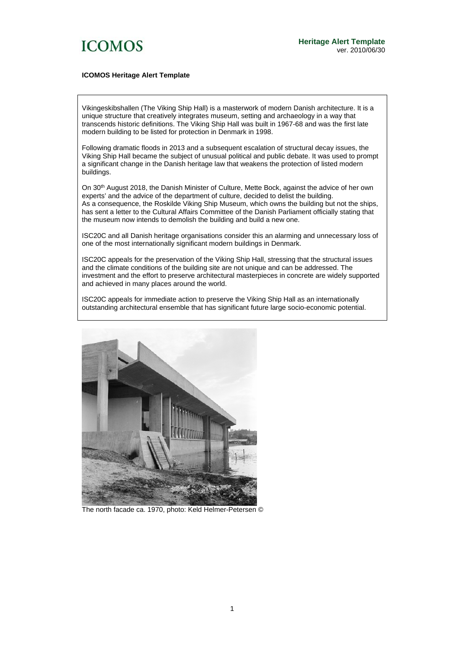

### **ICOMOS Heritage Alert Template**

Vikingeskibshallen (The Viking Ship Hall) is a masterwork of modern Danish architecture. It is a unique structure that creatively integrates museum, setting and archaeology in a way that transcends historic definitions. The Viking Ship Hall was built in 1967-68 and was the first late modern building to be listed for protection in Denmark in 1998.

Following dramatic floods in 2013 and a subsequent escalation of structural decay issues, the Viking Ship Hall became the subject of unusual political and public debate. It was used to prompt a significant change in the Danish heritage law that weakens the protection of listed modern buildings.

On 30<sup>th</sup> August 2018, the Danish Minister of Culture, Mette Bock, against the advice of her own experts' and the advice of the department of culture, decided to delist the building. As a consequence, the Roskilde Viking Ship Museum, which owns the building but not the ships, has sent a letter to the Cultural Affairs Committee of the Danish Parliament officially stating that the museum now intends to demolish the building and build a new one.

ISC20C and all Danish heritage organisations consider this an alarming and unnecessary loss of one of the most internationally significant modern buildings in Denmark.

ISC20C appeals for the preservation of the Viking Ship Hall, stressing that the structural issues and the climate conditions of the building site are not unique and can be addressed. The investment and the effort to preserve architectural masterpieces in concrete are widely supported and achieved in many places around the world.

ISC20C appeals for immediate action to preserve the Viking Ship Hall as an internationally outstanding architectural ensemble that has significant future large socio-economic potential.



The north facade ca. 1970, photo: Keld Helmer-Petersen ©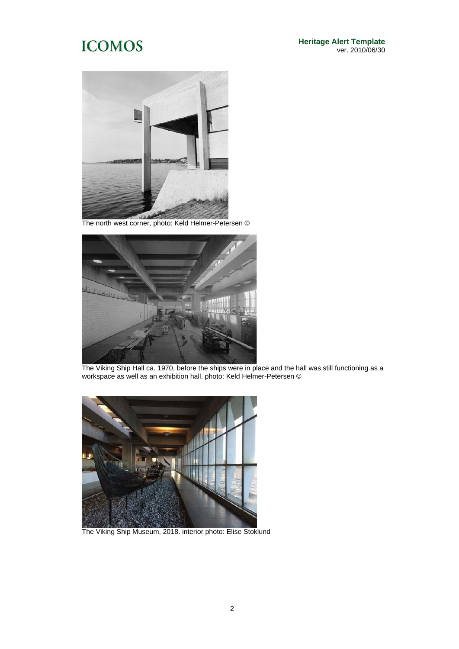

The north west corner, photo: Keld Helmer-Petersen ©



The Viking Ship Hall ca. 1970, before the ships were in place and the hall was still functioning as a workspace as well as an exhibition hall. photo: Keld Helmer-Petersen ©



The Viking Ship Museum, 2018. interior photo: Elise Stoklund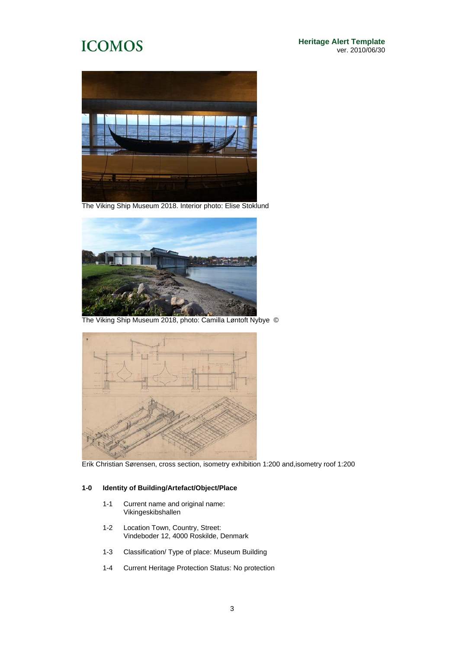**Heritage Alert Template** ver. 2010/06/30



The Viking Ship Museum 2018. Interior photo: Elise Stoklund



The Viking Ship Museum 2018, photo: Camilla Løntoft Nybye ©



Erik Christian Sørensen, cross section, isometry exhibition 1:200 and,isometry roof 1:200

### **1-0 Identity of Building/Artefact/Object/Place**

- 1-1 Current name and original name: Vikingeskibshallen
- 1-2 Location Town, Country, Street: Vindeboder 12, 4000 Roskilde, Denmark
- 1-3 Classification/ Type of place: Museum Building
- 1-4 Current Heritage Protection Status: No protection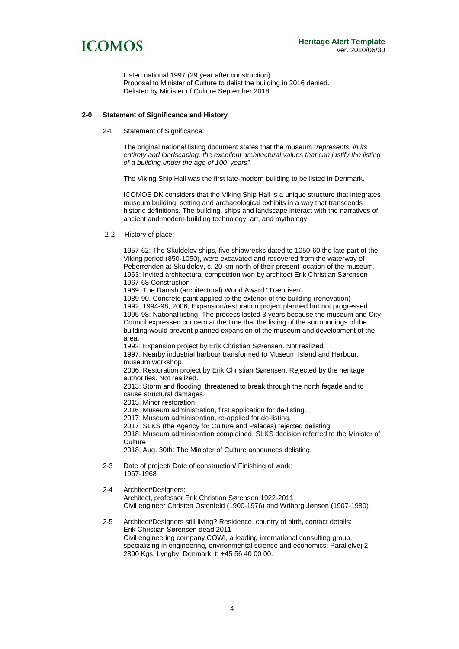

Listed national 1997 (29 year after construction) Proposal to Minister of Culture to delist the building in 2016 denied. Delisted by Minister of Culture September 2018

#### **2-0 Statement of Significance and History**

2-1 Statement of Significance:

The original national listing document states that the museum "*represents, in its entirety and landscaping, the excellent architectural values that can justify the listing of a building under the age of 100' years"* 

The Viking Ship Hall was the first late-modern building to be listed in Denmark.

ICOMOS DK considers that the Viking Ship Hall is a unique structure that integrates museum building, setting and archaeological exhibits in a way that transcends historic definitions. The building, ships and landscape interact with the narratives of ancient and modern building technology, art, and mythology.

2-2 History of place:

1957-62: The Skuldelev ships, five shipwrecks dated to 1050-60 the late part of the Viking period (850-1050), were excavated and recovered from the waterway of Peberrenden at Skuldelev, c. 20 km north of their present location of the museum. 1963: Invited architectural competition won by architect Erik Christian Sørensen 1967-68 Construction

1969. The Danish (architectural) Wood Award "Træprisen".

1989-90. Concrete paint applied to the exterior of the building (renovation) 1992, 1994-98, 2006; Expansion/restoration project planned but not progressed. 1995-98: National listing. The process lasted 3 years because the museum and City Council expressed concern at the time that the listing of the surroundings of the building would prevent planned expansion of the museum and development of the area.

1992: Expansion project by Erik Christian Sørensen. Not realized.

1997: Nearby industrial harbour transformed to Museum Island and Harbour, museum workshop.

2006. Restoration project by Erik Christian Sørensen. Rejected by the heritage authorities. Not realized.

2013: Storm and flooding, threatened to break through the north façade and to cause structural damages.

2015. Minor restoration

2016. Museum administration, first application for de-listing.

2017: Museum administration, re-applied for de-listing.

2017: SLKS (the Agency for Culture and Palaces) rejected delisting

2018: Museum administration complained. SLKS decision referred to the Minister of Culture

2018, Aug. 30th: The Minister of Culture announces delisting.

- 2-3 Date of project/ Date of construction/ Finishing of work: 1967-1968
- 2-4 Architect/Designers: Architect, professor Erik Christian Sørensen 1922-2011 Civil engineer Christen Ostenfeld (1900-1976) and Wriborg Jønson (1907-1980)
- 2-5 Architect/Designers still living? Residence, country of birth, contact details: Erik Christian Sørensen dead 2011 Civil engineering company COWI, a leading international consulting group, specializing in engineering, environmental science and economics: Parallelvej 2, 2800 Kgs. Lyngby, Denmark, t: +45 56 40 00 00.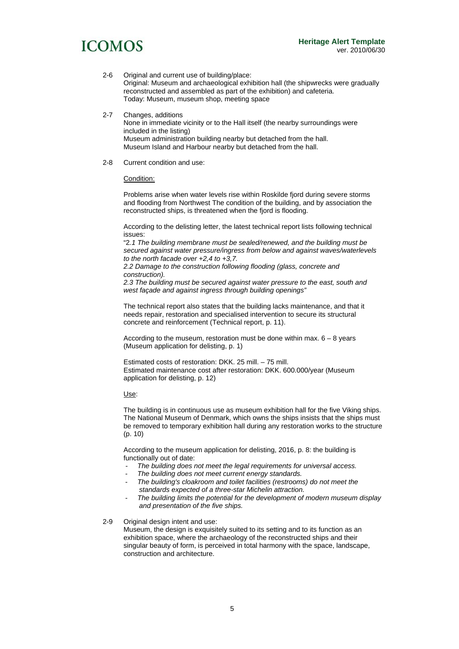- 2-6 Original and current use of building/place: Original: Museum and archaeological exhibition hall (the shipwrecks were gradually reconstructed and assembled as part of the exhibition) and cafeteria. Today: Museum, museum shop, meeting space
- 2-7 Changes, additions

 None in immediate vicinity or to the Hall itself (the nearby surroundings were included in the listing) Museum administration building nearby but detached from the hall. Museum Island and Harbour nearby but detached from the hall.

2-8 Current condition and use:

Condition:

Problems arise when water levels rise within Roskilde fjord during severe storms and flooding from Northwest The condition of the building, and by association the reconstructed ships, is threatened when the fjord is flooding.

According to the delisting letter, the latest technical report lists following technical issues:

"2*.1 The building membrane must be sealed/renewed, and the building must be secured against water pressure/ingress from below and against waves/waterlevels to the north facade over +2,4 to +3,7.* 

*2.2 Damage to the construction following flooding (glass, concrete and construction).* 

*2.3 The building must be secured against water pressure to the east, south and west façade and against ingress through building openings"* 

The technical report also states that the building lacks maintenance, and that it needs repair, restoration and specialised intervention to secure its structural concrete and reinforcement (Technical report, p. 11).

According to the museum, restoration must be done within max. 6 – 8 years (Museum application for delisting, p. 1)

Estimated costs of restoration: DKK. 25 mill. – 75 mill. Estimated maintenance cost after restoration: DKK. 600.000/year (Museum application for delisting, p. 12)

Use:

The building is in continuous use as museum exhibition hall for the five Viking ships. The National Museum of Denmark, which owns the ships insists that the ships must be removed to temporary exhibition hall during any restoration works to the structure (p. 10)

According to the museum application for delisting, 2016, p. 8: the building is functionally out of date:

- *The building does not meet the legal requirements for universal access.*
- *The building does not meet current energy standards.*
- *The building's cloakroom and toilet facilities (restrooms) do not meet the standards expected of a three-star Michelin attraction.*
- *The building limits the potential for the development of modern museum display and presentation of the five ships.*

2-9 Original design intent and use:

Museum, the design is exquisitely suited to its setting and to its function as an exhibition space, where the archaeology of the reconstructed ships and their singular beauty of form, is perceived in total harmony with the space, landscape, construction and architecture.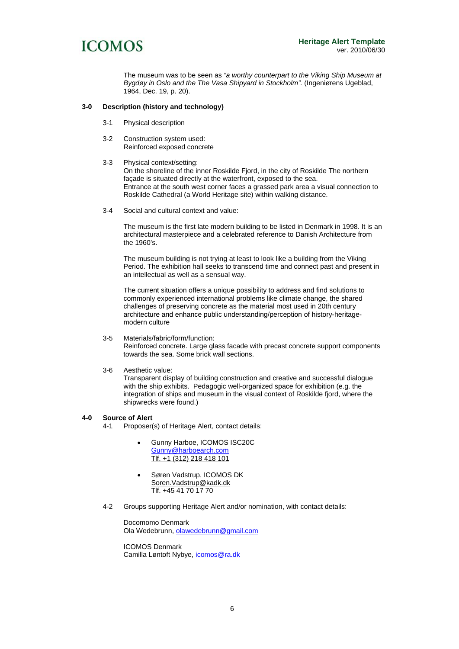

The museum was to be seen as *"a worthy counterpart to the Viking Ship Museum at Bygdøy in Oslo and the The Vasa Shipyard in Stockholm".* (Ingeniørens Ugeblad, 1964, Dec. 19, p. 20).

### **3-0 Description (history and technology)**

- 3-1 Physical description
- 3-2 Construction system used: Reinforced exposed concrete
- 3-3 Physical context/setting:

On the shoreline of the inner Roskilde Fjord, in the city of Roskilde The northern façade is situated directly at the waterfront, exposed to the sea. Entrance at the south west corner faces a grassed park area a visual connection to Roskilde Cathedral (a World Heritage site) within walking distance.

3-4 Social and cultural context and value:

The museum is the first late modern building to be listed in Denmark in 1998. It is an architectural masterpiece and a celebrated reference to Danish Architecture from the 1960's.

The museum building is not trying at least to look like a building from the Viking Period. The exhibition hall seeks to transcend time and connect past and present in an intellectual as well as a sensual way.

The current situation offers a unique possibility to address and find solutions to commonly experienced international problems like climate change, the shared challenges of preserving concrete as the material most used in 20th century architecture and enhance public understanding/perception of history-heritagemodern culture

#### 3-5 Materials/fabric/form/function: Reinforced concrete. Large glass facade with precast concrete support components towards the sea. Some brick wall sections.

### 3-6 Aesthetic value:

Transparent display of building construction and creative and successful dialogue with the ship exhibits. Pedagogic well-organized space for exhibition (e.g. the integration of ships and museum in the visual context of Roskilde fjord, where the shipwrecks were found.)

#### **4-0 Source of Alert**

4-1 Proposer(s) of Heritage Alert, contact details:

- Gunny Harboe, ICOMOS ISC20C Gunny@harboearch.com Tlf. +1 (312) 218 418 101
- Søren Vadstrup, ICOMOS DK Soren. Vadstrup@kadk.dk Tlf. +45 41 70 17 70
- 4-2 Groups supporting Heritage Alert and/or nomination, with contact details:

Docomomo Denmark Ola Wedebrunn, olawedebrunn@gmail.com

ICOMOS Denmark Camilla Løntoft Nybye, icomos@ra.dk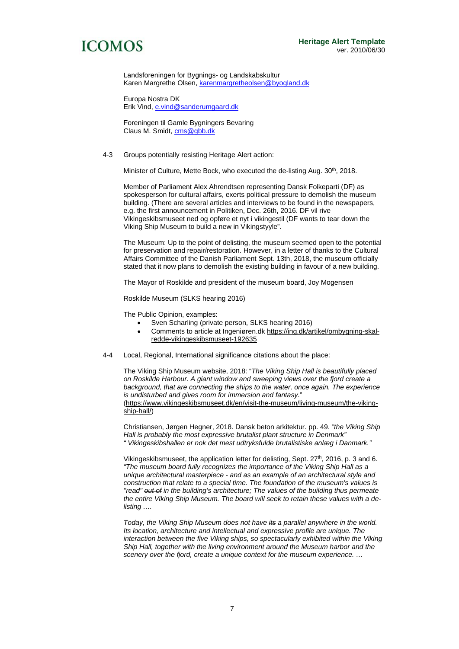Landsforeningen for Bygnings- og Landskabskultur Karen Margrethe Olsen, karenmargretheolsen@byogland.dk

 Europa Nostra DK Erik Vind, e.vind@sanderumgaard.dk

 Foreningen til Gamle Bygningers Bevaring Claus M. Smidt, cms@gbb.dk

4-3 Groups potentially resisting Heritage Alert action:

Minister of Culture, Mette Bock, who executed the de-listing Aug. 30th, 2018.

Member of Parliament Alex Ahrendtsen representing Dansk Folkeparti (DF) as spokesperson for cultural affairs, exerts political pressure to demolish the museum building. (There are several articles and interviews to be found in the newspapers, e.g. the first announcement in Politiken, Dec. 26th, 2016. DF vil rive Vikingeskibsmuseet ned og opføre et nyt i vikingestil (DF wants to tear down the Viking Ship Museum to build a new in Vikingstyyle".

The Museum: Up to the point of delisting, the museum seemed open to the potential for preservation and repair/restoration. However, in a letter of thanks to the Cultural Affairs Committee of the Danish Parliament Sept. 13th, 2018, the museum officially stated that it now plans to demolish the existing building in favour of a new building.

The Mayor of Roskilde and president of the museum board, Joy Mogensen

Roskilde Museum (SLKS hearing 2016)

The Public Opinion, examples:

- Sven Scharling (private person, SLKS hearing 2016)
- Comments to article at Ingeniøren.dk https://ing.dk/artikel/ombygning-skalredde-vikingeskibsmuseet-192635
- 4-4 Local, Regional, International significance citations about the place:

The Viking Ship Museum website, 2018: "*The Viking Ship Hall is beautifully placed on Roskilde Harbour. A giant window and sweeping views over the fjord create a background, that are connecting the ships to the water, once again. The experience is undisturbed and gives room for immersion and fantasy*." (https://www.vikingeskibsmuseet.dk/en/visit-the-museum/living-museum/the-vikingship-hall/)

Christiansen, Jørgen Hegner, 2018. Dansk beton arkitektur. pp. 49. *"the Viking Ship Hall is probably the most expressive brutalist plant structure in Denmark" " Vikingeskibshallen er nok det mest udtryksfulde brutalistiske anlæg i Danmark."* 

Vikingeskibsmuseet, the application letter for delisting, Sept. 27<sup>th</sup>, 2016, p. 3 and 6. *"The museum board fully recognizes the importance of the Viking Ship Hall as a unique architectural masterpiece - and as an example of an architectural style and construction that relate to a special time. The foundation of the museum's values is "read" out of in the building's architecture; The values of the building thus permeate the entire Viking Ship Museum. The board will seek to retain these values with a delisting ….* 

*Today, the Viking Ship Museum does not have its a parallel anywhere in the world. Its location, architecture and intellectual and expressive profile are unique. The interaction between the five Viking ships, so spectacularly exhibited within the Viking Ship Hall, together with the living environment around the Museum harbor and the scenery over the fjord, create a unique context for the museum experience. …*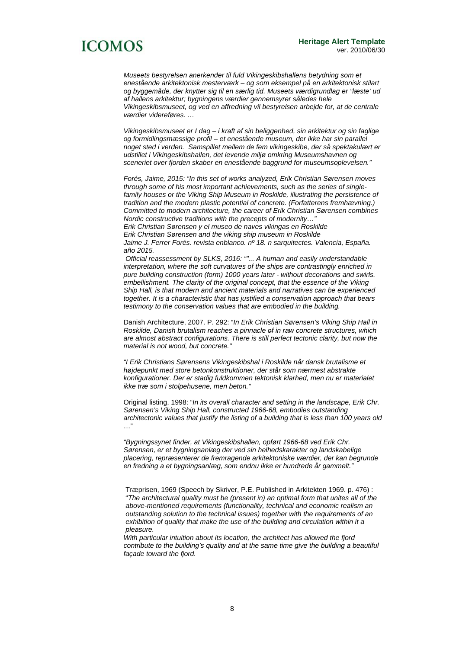*Museets bestyrelsen anerkender til fuld Vikingeskibshallens betydning som et enestående arkitektonisk mesterværk – og som eksempel på en arkitektonisk stilart og byggemåde, der knytter sig til en særlig tid. Museets værdigrundlag er "læste' ud af hallens arkitektur; bygningens værdier gennemsyrer således hele Vikingeskibsmuseet, og ved en affredning vil bestyrelsen arbejde for, at de centrale værdier videreføres. …* 

*Vikingeskibsmuseet er I dag – i kraft af sin beliggenhed, sin arkitektur og sin faglige og formidlingsmæssige profil – et enestående museum, der ikke har sin parallel noget sted i verden. Samspillet mellem de fem vikingeskibe, der så spektakulært er udstillet i Vikingeskibshallen, det levende miljø omkring Museumshavnen og sceneriet over fjorden skaber en enestående baggrund for museumsoplevelsen."* 

*Forés, Jaime, 2015: "In this set of works analyzed, Erik Christian Sørensen moves through some of his most important achievements, such as the series of singlefamily houses or the Viking Ship Museum in Roskilde, illustrating the persistence of tradition and the modern plastic potential of concrete. (Forfatterens fremhævning.) Committed to modern architecture, the career of Erik Christian Sørensen combines Nordic constructive traditions with the precepts of modernity…" Erik Christian Sørensen y el museo de naves vikingas en Roskilde Erik Christian Sørensen and the viking ship museum in Roskilde* 

*Jaime J. Ferrer Forés. revista enblanco. nº 18. n sarquitectes. Valencia, España. año 2015.* 

 *Official reassessment by SLKS, 2016: ""... A human and easily understandable interpretation, where the soft curvatures of the ships are contrastingly enriched in pure building construction (form) 1000 years later - without decorations and swirls. embellishment. The clarity of the original concept, that the essence of the Viking Ship Hall, is that modern and ancient materials and narratives can be experienced together. It is a characteristic that has justified a conservation approach that bears testimony to the conservation values that are embodied in the building.* 

Danish Architecture, 2007. P. 292: "*In Erik Christian Sørensen's Viking Ship Hall in Roskilde, Danish brutalism reaches a pinnacle of in raw concrete structures, which are almost abstract configurations. There is still perfect tectonic clarity, but now the material is not wood, but concrete."* 

*"I Erik Christians Sørensens Vikingeskibshal i Roskilde når dansk brutalisme et højdepunkt med store betonkonstruktioner, der står som nærmest abstrakte konfigurationer. Der er stadig fuldkommen tektonisk klarhed, men nu er materialet ikke træ som i stolpehusene, men beton."* 

Original listing, 1998: "*In its overall character and setting in the landscape, Erik Chr. Sørensen's Viking Ship Hall, constructed 1966-68, embodies outstanding architectonic values that justify the listing of a building that is less than 100 years old* …"

*"Bygningssynet finder, at Vikingeskibshallen, opført 1966-68 ved Erik Chr. Sørensen, er et bygningsanlæg der ved sin helhedskarakter og landskabelige placering, repræsenterer de fremragende arkitektoniske værdier, der kan begrunde en fredning a et bygningsanlæg, som endnu ikke er hundrede år gammelt."* 

*With particular intuition about its location, the architect has allowed the fjord contribute to the building's quality and at the same time give the building a beautiful façade toward the fjord.* 

Træprisen, 1969 (Speech by Skriver, P.E. Published in Arkitekten 1969. p. 476) : "*The architectural quality must be (present in) an optimal form that unites all of the above-mentioned requirements (functionality, technical and economic realism an outstanding solution to the technical issues) together with the requirements of an exhibition of quality that make the use of the building and circulation within it a pleasure.*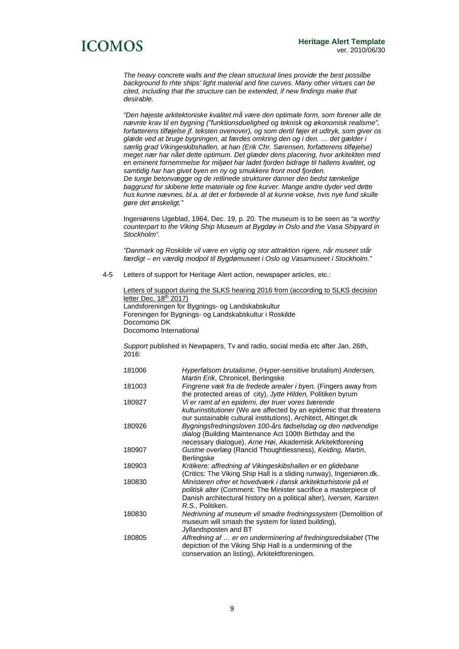*The heavy concrete walls and the clean structural lines provide the best possilbe background fo rhte ships' light material and fine curves. Many other virtues can be cited, including that the structure can be extended, if new findings make that desirable.* 

*"Den højeste arkitektoniske kvalitet må være den optimale form, som forener alle de nævnte krav til en bygning ("funktionsduelighed og teknisk og økonomisk realisme", forfatterens tilføjelse jf. teksten ovenover), og som dertil føjer et udtryk, som giver os glæde ved at bruge bygningen, at færdes omkring den og i den. … det gælder i særlig grad Vikingeskibshallen, at han (Erik Chr. Sørensen, forfatterens tilføjelse) meget nær har nået dette optimum. Det glæder dens placering, hvor arkitekten med en eminent fornemmelse for miljøet har ladet fjorden bidrage til hallens kvalitet, og samtidig har han givet byen en ny og smukkere front mod fjorden. De tunge betonvægge og de retlinede strukturer danner den bedst tænkelige baggrund for skibene lette materiale og fine kurver. Mange andre dyder ved dette hus kunne nævnes, bl.a. at det er forberede til at kunne vokse, hvis nye fund skulle gøre det ønskeligt."* 

Ingeniørens Ugeblad, 1964, Dec. 19, p. 20*.* The museum is to be seen as *"a worthy counterpart to the Viking Ship Museum at Bygdøy in Oslo and the Vasa Shipyard in Stockholm".* 

*"Danmark og Roskilde vil være en vigtig og stor attraktion rigere, når museet står færdigt – en værdig modpol til Bygdømuseet i Oslo og Vasamuseet i Stockholm."* 

4-5 Letters of support for Heritage Alert action, newspaper articles, etc.:

Letters of support during the SLKS hearing 2016 from (according to SLKS decision letter Dec. 18<sup>th</sup> 2017) Landsforeningen for Bygnings- og Landskabskultur Foreningen for Bygnings- og Landskabskultur i Roskilde Docomomo DK Docomomo International

*Support* published in Newpapers, Tv and radio, social media etc after Jan. 26th, 2016:

| Hyperfølsom brutalisme, (Hyper-sensitive brutalism) Andersen,<br>Martin Erik, Chronicel, Berlingske |
|-----------------------------------------------------------------------------------------------------|
| Fingrene væk fra de fredede arealer i byen. (Fingers away from                                      |
| the protected areas of city), Jytte Hilden, Politiken byrum                                         |
| Vi er ramt af en epidemi, der truer vores bærende                                                   |
| kulturinstitutioner (We are affected by an epidemic that threatens                                  |
| our sustainable cultural institutions), Architect, Altinget.dk                                      |
| Bygningsfredningsloven 100-års fødselsdag og den nødvendige                                         |
| dialog (Building Maintenance Act 100th Birthday and the                                             |
| necessary dialogue), Arne Høi, Akademisk Arkitektforening                                           |
| Gustne overlæg (Rancid Thoughtlessness), Keiding, Martin,                                           |
| Berlingske                                                                                          |
| Kritikere: affredning af Vikingeskibshallen er en glidebane                                         |
| (Critics: The Viking Ship Hall is a sliding runway), Ingeniøren.dk.                                 |
| Ministeren ofrer et hovedværk i dansk arkitekturhistorie på et                                      |
| politisk alter (Comment: The Minister sacrifice a masterpiece of                                    |
| Danish architectural history on a political alter), <i>Iversen</i> , Karsten                        |
| R.S., Politiken.                                                                                    |
| Nedrivning af museum vil smadre fredningssystem (Demolition of                                      |
| museum will smash the system for listed building),                                                  |
| Jyllandsposten and BT                                                                               |
| Affredning af  er en underminering af fredningsredskabet (The                                       |
| depiction of the Viking Ship Hall is a undermining of the                                           |
| conservation an listing), Arkitektforeningen.                                                       |
|                                                                                                     |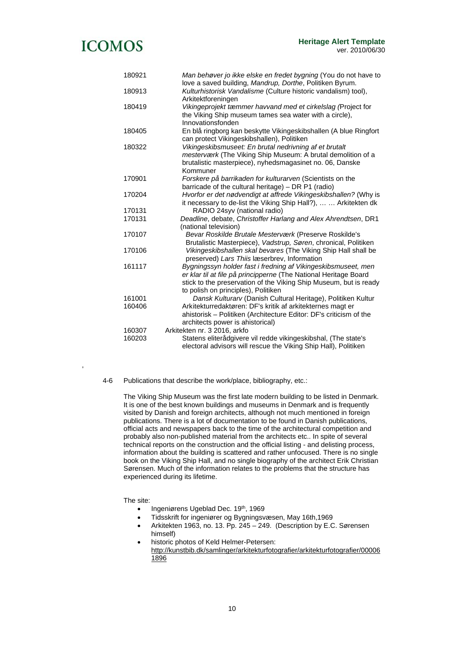| 180921 | Man behøver jo ikke elske en fredet bygning (You do not have to                                                            |
|--------|----------------------------------------------------------------------------------------------------------------------------|
| 180913 | love a saved building, Mandrup, Dorthe, Politiken Byrum.<br>Kulturhistorisk Vandalisme (Culture historic vandalism) tool), |
|        | Arkitektforeningen                                                                                                         |
| 180419 | Vikingeprojekt tæmmer havvand med et cirkelslag (Project for                                                               |
|        | the Viking Ship museum tames sea water with a circle),                                                                     |
|        | Innovationsfonden                                                                                                          |
| 180405 | En blå ringborg kan beskytte Vikingeskibshallen (A blue Ringfort                                                           |
|        | can protect Vikingeskibshallen), Politiken                                                                                 |
| 180322 | Vikingeskibsmuseet: En brutal nedrivning af et brutalt                                                                     |
|        | mesterværk (The Viking Ship Museum: A brutal demolition of a                                                               |
|        | brutalistic masterpiece), nyhedsmagasinet no. 06, Danske                                                                   |
|        | Kommuner                                                                                                                   |
| 170901 | Forskere på barrikaden for kulturarven (Scientists on the                                                                  |
|        | barricade of the cultural heritage) - DR P1 (radio)                                                                        |
| 170204 | Hvorfor er det nødvendigt at affrede Vikingeskibshallen? (Why is                                                           |
|        | it necessary to de-list the Viking Ship Hall?),   Arkitekten dk                                                            |
| 170131 | RADIO 24syv (national radio)                                                                                               |
| 170131 | Deadline, debate, Christoffer Harlang and Alex Ahrendtsen, DR1                                                             |
|        | (national television)                                                                                                      |
| 170107 | Bevar Roskilde Brutale Mesterværk (Preserve Roskilde's                                                                     |
|        | Brutalistic Masterpiece), Vadstrup, Søren, chronical, Politiken                                                            |
| 170106 | Vikingeskibshallen skal bevares (The Viking Ship Hall shall be                                                             |
|        | preserved) Lars Thiis læserbrev, Information                                                                               |
| 161117 | Bygningssyn holder fast i fredning af Vikingeskibsmuseet, men                                                              |
|        | er klar til at file på principperne (The National Heritage Board                                                           |
|        | stick to the preservation of the Viking Ship Museum, but is ready                                                          |
|        | to polish on principles), Politiken                                                                                        |
| 161001 | Dansk Kulturarv (Danish Cultural Heritage), Politiken Kultur                                                               |
| 160406 | Arkitekturredaktøren: DF's kritik af arkitekternes magt er                                                                 |
|        | ahistorisk - Politiken (Architecture Editor: DF's criticism of the                                                         |
|        | architects power is ahistorical)                                                                                           |
| 160307 | Arkitekten nr. 3 2016, arkfo                                                                                               |
| 160203 | Statens eliterådgivere vil redde vikingeskibshal, (The state's                                                             |
|        | electoral advisors will rescue the Viking Ship Hall), Politiken                                                            |

#### 4-6 Publications that describe the work/place, bibliography, etc.:

The Viking Ship Museum was the first late modern building to be listed in Denmark. It is one of the best known buildings and museums in Denmark and is frequently visited by Danish and foreign architects, although not much mentioned in foreign publications. There is a lot of documentation to be found in Danish publications, official acts and newspapers back to the time of the architectural competition and probably also non-published material from the architects etc.. In spite of several technical reports on the construction and the official listing - and delisting process, information about the building is scattered and rather unfocused. There is no single book on the Viking Ship Hall, and no single biography of the architect Erik Christian Sørensen. Much of the information relates to the problems that the structure has experienced during its lifetime.

The site:

,

- Ingeniørens Ugeblad Dec. 19<sup>th</sup>, 1969
- Tidsskrift for ingeniører og Bygningsvæsen, May 16th,1969
- Arkitekten 1963, no. 13. Pp. 245 249. (Description by E.C. Sørensen himself)
- historic photos of Keld Helmer-Petersen: http://kunstbib.dk/samlinger/arkitekturfotografier/arkitekturfotografier/00006 1896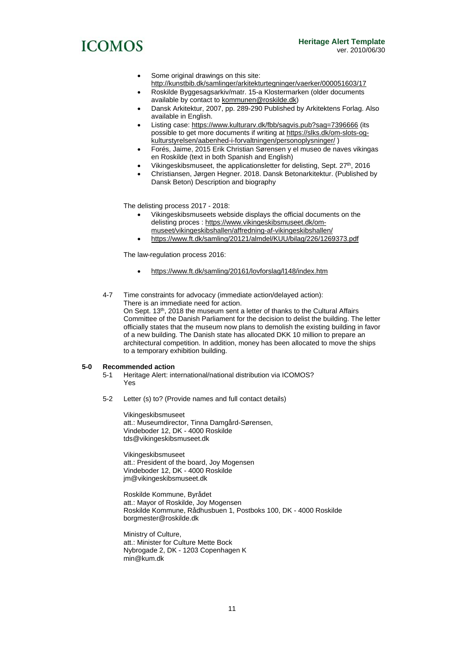- Some original drawings on this site:
- http://kunstbib.dk/samlinger/arkitekturtegninger/vaerker/000051603/17
- Roskilde Byggesagsarkiv/matr. 15-a Klostermarken (older documents available by contact to kommunen@roskilde.dk)
- Dansk Arkitektur, 2007, pp. 289-290 Published by Arkitektens Forlag. Also available in English.
- Listing case: https://www.kulturarv.dk/fbb/sagvis.pub?sag=7396666 (its possible to get more documents if writing at https://slks.dk/om-slots-ogkulturstyrelsen/aabenhed-i-forvaltningen/personoplysninger/ )
- Forés, Jaime, 2015 Erik Christian Sørensen y el museo de naves vikingas en Roskilde (text in both Spanish and English)
- Vikingeskibsmuseet, the applicationsletter for delisting, Sept. 27<sup>th</sup>, 2016
- Christiansen, Jørgen Hegner. 2018. Dansk Betonarkitektur. (Published by Dansk Beton) Description and biography

The delisting process 2017 - 2018:

- Vikingeskibsmuseets webside displays the official documents on the delisting proces : https://www.vikingeskibsmuseet.dk/ommuseet/vikingeskibshallen/affredning-af-vikingeskibshallen/
- https://www.ft.dk/samling/20121/almdel/KUU/bilag/226/1269373.pdf

The law-regulation process 2016:

to a temporary exhibition building.

- https://www.ft.dk/samling/20161/lovforslag/l148/index.htm
- 4-7 Time constraints for advocacy (immediate action/delayed action): There is an immediate need for action.

On Sept. 13<sup>th</sup>, 2018 the museum sent a letter of thanks to the Cultural Affairs Committee of the Danish Parliament for the decision to delist the building. The letter officially states that the museum now plans to demolish the existing building in favor of a new building. The Danish state has allocated DKK 10 million to prepare an architectural competition. In addition, money has been allocated to move the ships

#### **5-0 Recommended action**

- 5-1 Heritage Alert: international/national distribution via ICOMOS? Yes
- 5-2 Letter (s) to? (Provide names and full contact details)

Vikingeskibsmuseet att.: Museumdirector, Tinna Damgård-Sørensen, Vindeboder 12, DK - 4000 Roskilde tds@vikingeskibsmuseet.dk

Vikingeskibsmuseet att.: President of the board, Joy Mogensen Vindeboder 12, DK - 4000 Roskilde jm@vikingeskibsmuseet.dk

Roskilde Kommune, Byrådet att.: Mayor of Roskilde, Joy Mogensen Roskilde Kommune, Rådhusbuen 1, Postboks 100, DK - 4000 Roskilde borgmester@roskilde.dk

Ministry of Culture, att.: Minister for Culture Mette Bock Nybrogade 2, DK - 1203 Copenhagen K min@kum.dk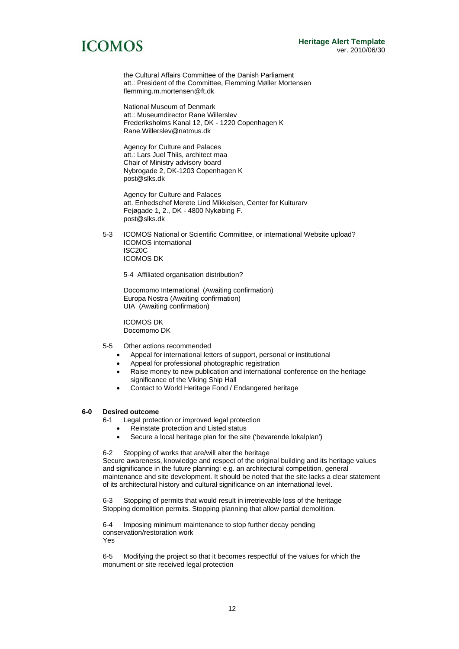the Cultural Affairs Committee of the Danish Parliament att.: President of the Committee, Flemming Møller Mortensen flemming.m.mortensen@ft.dk

National Museum of Denmark att.: Museumdirector Rane Willerslev Frederiksholms Kanal 12, DK - 1220 Copenhagen K Rane.Willerslev@natmus.dk

Agency for Culture and Palaces att.: Lars Juel Thiis, architect maa Chair of Ministry advisory board Nybrogade 2, DK-1203 Copenhagen K post@slks.dk

Agency for Culture and Palaces att. Enhedschef Merete Lind Mikkelsen, Center for Kulturarv Fejøgade 1, 2., DK - 4800 Nykøbing F. post@slks.dk

5-3 ICOMOS National or Scientific Committee, or international Website upload? ICOMOS international ISC20C ICOMOS DK

5-4 Affiliated organisation distribution?

Docomomo International (Awaiting confirmation) Europa Nostra (Awaiting confirmation) UIA (Awaiting confirmation)

ICOMOS DK Docomomo DK

- 5-5 Other actions recommended
	- Appeal for international letters of support, personal or institutional
	- Appeal for professional photographic registration
	- Raise money to new publication and international conference on the heritage significance of the Viking Ship Hall
	- Contact to World Heritage Fond / Endangered heritage

### **6-0 Desired outcome**

6-1 Legal protection or improved legal protection

- Reinstate protection and Listed status
- Secure a local heritage plan for the site ('bevarende lokalplan')

6-2 Stopping of works that are/will alter the heritage

Secure awareness, knowledge and respect of the original building and its heritage values and significance in the future planning: e.g. an architectural competition, general maintenance and site development. It should be noted that the site lacks a clear statement of its architectural history and cultural significance on an international level.

6-3 Stopping of permits that would result in irretrievable loss of the heritage Stopping demolition permits. Stopping planning that allow partial demolition.

6-4 Imposing minimum maintenance to stop further decay pending conservation/restoration work Yes

6-5 Modifying the project so that it becomes respectful of the values for which the monument or site received legal protection